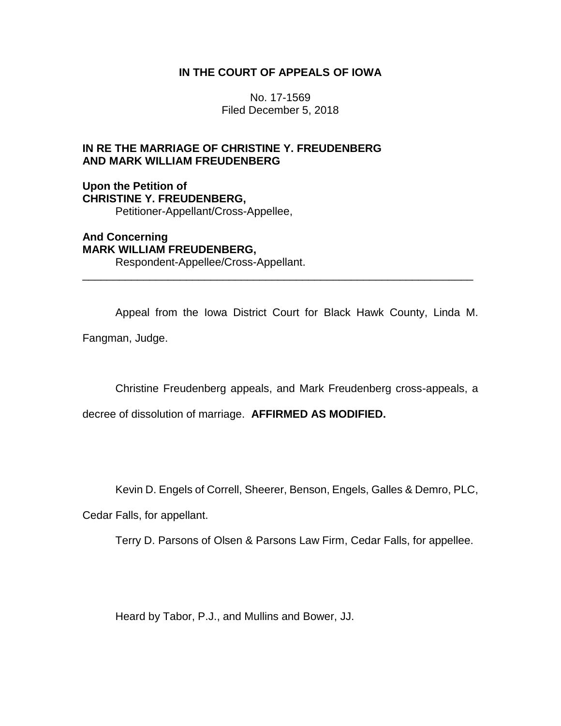# **IN THE COURT OF APPEALS OF IOWA**

No. 17-1569 Filed December 5, 2018

# **IN RE THE MARRIAGE OF CHRISTINE Y. FREUDENBERG AND MARK WILLIAM FREUDENBERG**

**Upon the Petition of CHRISTINE Y. FREUDENBERG,** Petitioner-Appellant/Cross-Appellee,

**And Concerning MARK WILLIAM FREUDENBERG,** Respondent-Appellee/Cross-Appellant.

Appeal from the Iowa District Court for Black Hawk County, Linda M.

\_\_\_\_\_\_\_\_\_\_\_\_\_\_\_\_\_\_\_\_\_\_\_\_\_\_\_\_\_\_\_\_\_\_\_\_\_\_\_\_\_\_\_\_\_\_\_\_\_\_\_\_\_\_\_\_\_\_\_\_\_\_\_\_

Fangman, Judge.

Christine Freudenberg appeals, and Mark Freudenberg cross-appeals, a

decree of dissolution of marriage. **AFFIRMED AS MODIFIED.**

Kevin D. Engels of Correll, Sheerer, Benson, Engels, Galles & Demro, PLC,

Cedar Falls, for appellant.

Terry D. Parsons of Olsen & Parsons Law Firm, Cedar Falls, for appellee.

Heard by Tabor, P.J., and Mullins and Bower, JJ.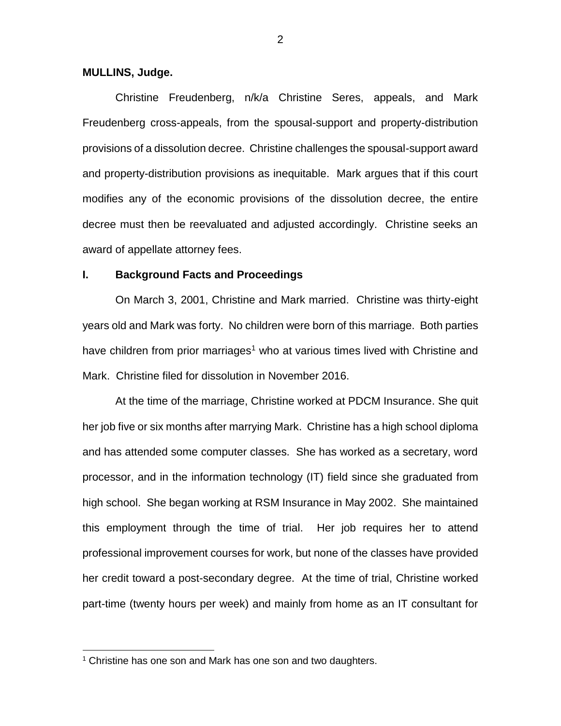#### **MULLINS, Judge.**

Christine Freudenberg, n/k/a Christine Seres, appeals, and Mark Freudenberg cross-appeals, from the spousal-support and property-distribution provisions of a dissolution decree. Christine challenges the spousal-support award and property-distribution provisions as inequitable. Mark argues that if this court modifies any of the economic provisions of the dissolution decree, the entire decree must then be reevaluated and adjusted accordingly. Christine seeks an award of appellate attorney fees.

## **I. Background Facts and Proceedings**

On March 3, 2001, Christine and Mark married. Christine was thirty-eight years old and Mark was forty. No children were born of this marriage. Both parties have children from prior marriages<sup>1</sup> who at various times lived with Christine and Mark. Christine filed for dissolution in November 2016.

At the time of the marriage, Christine worked at PDCM Insurance. She quit her job five or six months after marrying Mark. Christine has a high school diploma and has attended some computer classes. She has worked as a secretary, word processor, and in the information technology (IT) field since she graduated from high school. She began working at RSM Insurance in May 2002. She maintained this employment through the time of trial. Her job requires her to attend professional improvement courses for work, but none of the classes have provided her credit toward a post-secondary degree. At the time of trial, Christine worked part-time (twenty hours per week) and mainly from home as an IT consultant for

<sup>&</sup>lt;sup>1</sup> Christine has one son and Mark has one son and two daughters.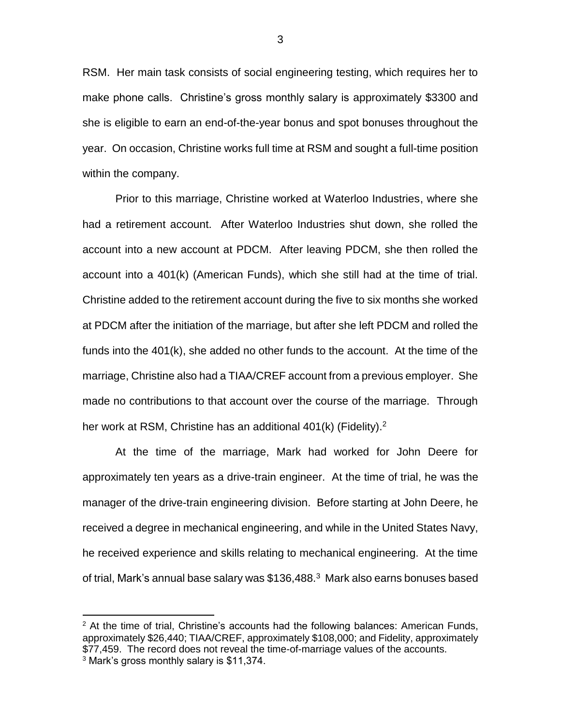RSM. Her main task consists of social engineering testing, which requires her to make phone calls. Christine's gross monthly salary is approximately \$3300 and she is eligible to earn an end-of-the-year bonus and spot bonuses throughout the year. On occasion, Christine works full time at RSM and sought a full-time position within the company.

Prior to this marriage, Christine worked at Waterloo Industries, where she had a retirement account. After Waterloo Industries shut down, she rolled the account into a new account at PDCM. After leaving PDCM, she then rolled the account into a 401(k) (American Funds), which she still had at the time of trial. Christine added to the retirement account during the five to six months she worked at PDCM after the initiation of the marriage, but after she left PDCM and rolled the funds into the 401(k), she added no other funds to the account. At the time of the marriage, Christine also had a TIAA/CREF account from a previous employer. She made no contributions to that account over the course of the marriage. Through her work at RSM, Christine has an additional  $401(k)$  (Fidelity).<sup>2</sup>

At the time of the marriage, Mark had worked for John Deere for approximately ten years as a drive-train engineer. At the time of trial, he was the manager of the drive-train engineering division. Before starting at John Deere, he received a degree in mechanical engineering, and while in the United States Navy, he received experience and skills relating to mechanical engineering. At the time of trial, Mark's annual base salary was \$136,488.<sup>3</sup> Mark also earns bonuses based

 $2$  At the time of trial, Christine's accounts had the following balances: American Funds, approximately \$26,440; TIAA/CREF, approximately \$108,000; and Fidelity, approximately \$77,459. The record does not reveal the time-of-marriage values of the accounts. <sup>3</sup> Mark's gross monthly salary is \$11,374.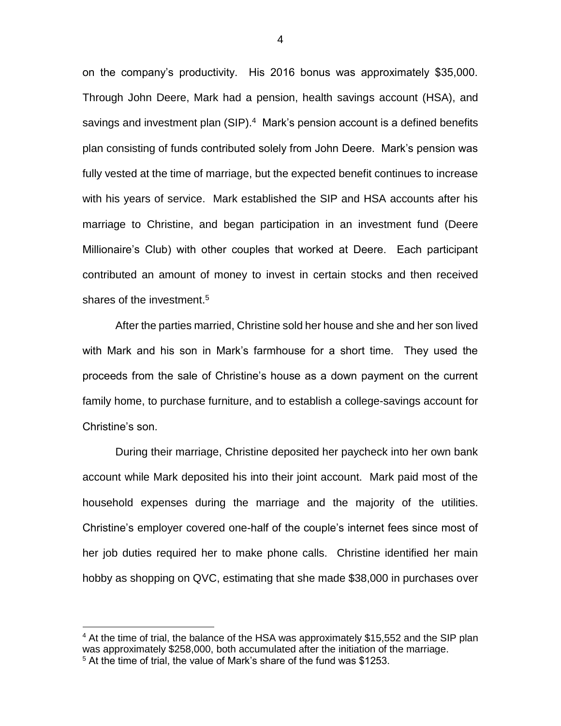on the company's productivity. His 2016 bonus was approximately \$35,000. Through John Deere, Mark had a pension, health savings account (HSA), and savings and investment plan (SIP).<sup>4</sup> Mark's pension account is a defined benefits plan consisting of funds contributed solely from John Deere. Mark's pension was fully vested at the time of marriage, but the expected benefit continues to increase with his years of service. Mark established the SIP and HSA accounts after his marriage to Christine, and began participation in an investment fund (Deere Millionaire's Club) with other couples that worked at Deere. Each participant contributed an amount of money to invest in certain stocks and then received shares of the investment.<sup>5</sup>

After the parties married, Christine sold her house and she and her son lived with Mark and his son in Mark's farmhouse for a short time. They used the proceeds from the sale of Christine's house as a down payment on the current family home, to purchase furniture, and to establish a college-savings account for Christine's son.

During their marriage, Christine deposited her paycheck into her own bank account while Mark deposited his into their joint account. Mark paid most of the household expenses during the marriage and the majority of the utilities. Christine's employer covered one-half of the couple's internet fees since most of her job duties required her to make phone calls. Christine identified her main hobby as shopping on QVC, estimating that she made \$38,000 in purchases over

<sup>&</sup>lt;sup>4</sup> At the time of trial, the balance of the HSA was approximately \$15,552 and the SIP plan was approximately \$258,000, both accumulated after the initiation of the marriage. <sup>5</sup> At the time of trial, the value of Mark's share of the fund was \$1253.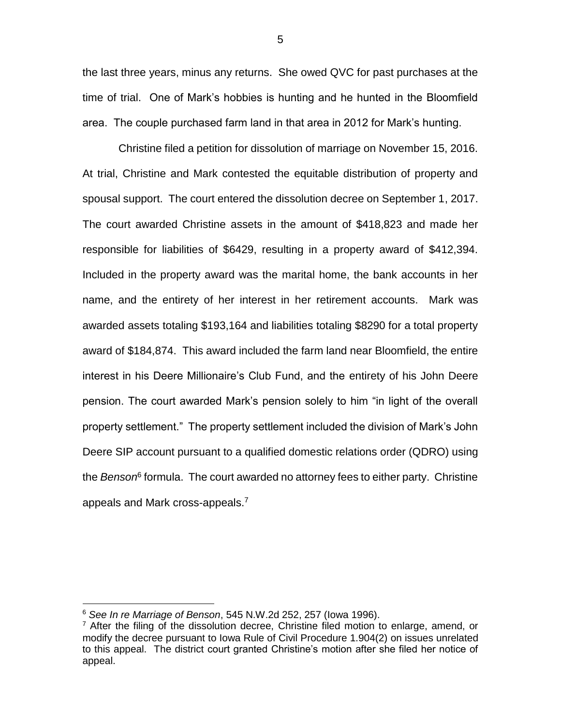the last three years, minus any returns. She owed QVC for past purchases at the time of trial. One of Mark's hobbies is hunting and he hunted in the Bloomfield area. The couple purchased farm land in that area in 2012 for Mark's hunting.

Christine filed a petition for dissolution of marriage on November 15, 2016. At trial, Christine and Mark contested the equitable distribution of property and spousal support. The court entered the dissolution decree on September 1, 2017. The court awarded Christine assets in the amount of \$418,823 and made her responsible for liabilities of \$6429, resulting in a property award of \$412,394. Included in the property award was the marital home, the bank accounts in her name, and the entirety of her interest in her retirement accounts. Mark was awarded assets totaling \$193,164 and liabilities totaling \$8290 for a total property award of \$184,874. This award included the farm land near Bloomfield, the entire interest in his Deere Millionaire's Club Fund, and the entirety of his John Deere pension. The court awarded Mark's pension solely to him "in light of the overall property settlement." The property settlement included the division of Mark's John Deere SIP account pursuant to a qualified domestic relations order (QDRO) using the *Benson*<sup>6</sup> formula. The court awarded no attorney fees to either party. Christine appeals and Mark cross-appeals.<sup>7</sup>

 $\overline{a}$ 

5

<sup>6</sup> *See In re Marriage of Benson*, 545 N.W.2d 252, 257 (Iowa 1996).

 $7$  After the filing of the dissolution decree, Christine filed motion to enlarge, amend, or modify the decree pursuant to Iowa Rule of Civil Procedure 1.904(2) on issues unrelated to this appeal. The district court granted Christine's motion after she filed her notice of appeal.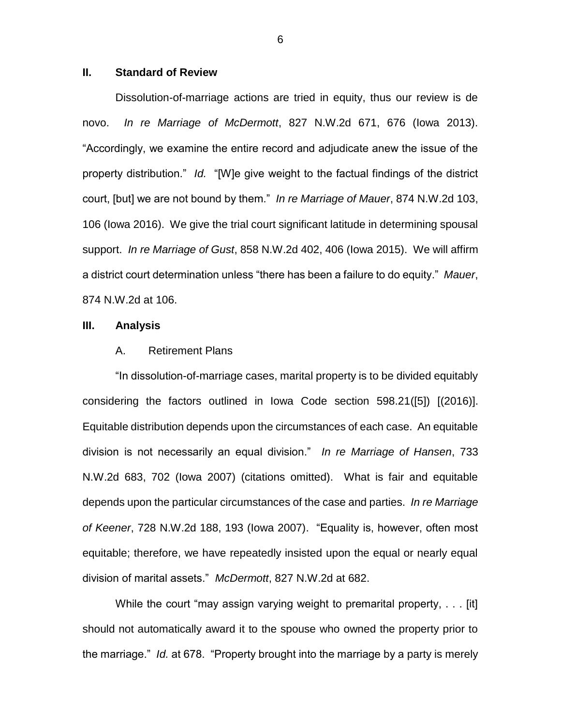## **II. Standard of Review**

Dissolution-of-marriage actions are tried in equity, thus our review is de novo. *In re Marriage of McDermott*, 827 N.W.2d 671, 676 (Iowa 2013). "Accordingly, we examine the entire record and adjudicate anew the issue of the property distribution." *Id.* "[W]e give weight to the factual findings of the district court, [but] we are not bound by them." *In re Marriage of Mauer*, 874 N.W.2d 103, 106 (Iowa 2016). We give the trial court significant latitude in determining spousal support. *In re Marriage of Gust*, 858 N.W.2d 402, 406 (Iowa 2015). We will affirm a district court determination unless "there has been a failure to do equity." *Mauer*, 874 N.W.2d at 106.

#### **III. Analysis**

#### A. Retirement Plans

"In dissolution-of-marriage cases, marital property is to be divided equitably considering the factors outlined in Iowa Code section 598.21([5]) [(2016)]. Equitable distribution depends upon the circumstances of each case. An equitable division is not necessarily an equal division." *In re Marriage of Hansen*, 733 N.W.2d 683, 702 (Iowa 2007) (citations omitted). What is fair and equitable depends upon the particular circumstances of the case and parties. *In re Marriage of Keener*, 728 N.W.2d 188, 193 (Iowa 2007). "Equality is, however, often most equitable; therefore, we have repeatedly insisted upon the equal or nearly equal division of marital assets." *McDermott*, 827 N.W.2d at 682.

While the court "may assign varying weight to premarital property, ... [it] should not automatically award it to the spouse who owned the property prior to the marriage." *Id.* at 678. "Property brought into the marriage by a party is merely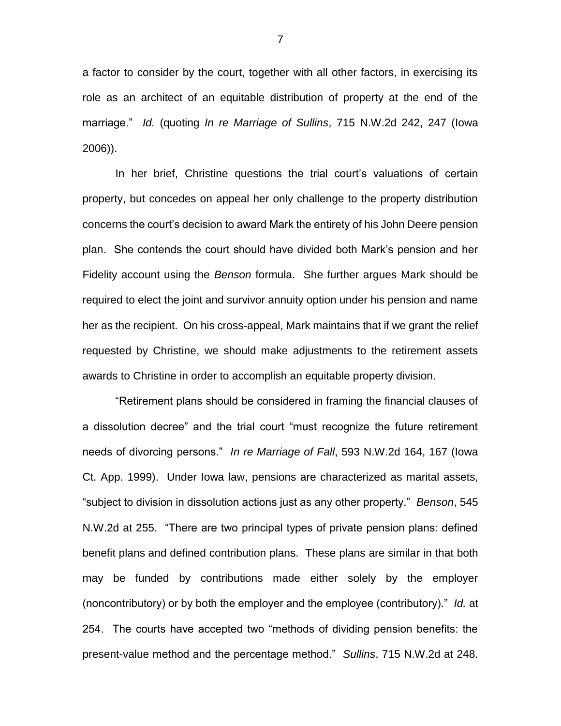a factor to consider by the court, together with all other factors, in exercising its role as an architect of an equitable distribution of property at the end of the marriage." *Id.* (quoting *In re Marriage of Sullins*, 715 N.W.2d 242, 247 (Iowa 2006)).

In her brief, Christine questions the trial court's valuations of certain property, but concedes on appeal her only challenge to the property distribution concerns the court's decision to award Mark the entirety of his John Deere pension plan. She contends the court should have divided both Mark's pension and her Fidelity account using the *Benson* formula. She further argues Mark should be required to elect the joint and survivor annuity option under his pension and name her as the recipient. On his cross-appeal, Mark maintains that if we grant the relief requested by Christine, we should make adjustments to the retirement assets awards to Christine in order to accomplish an equitable property division.

"Retirement plans should be considered in framing the financial clauses of a dissolution decree" and the trial court "must recognize the future retirement needs of divorcing persons." *In re Marriage of Fall*, 593 N.W.2d 164, 167 (Iowa Ct. App. 1999). Under Iowa law, pensions are characterized as marital assets, "subject to division in dissolution actions just as any other property." *Benson*, 545 N.W.2d at 255. "There are two principal types of private pension plans: defined benefit plans and defined contribution plans. These plans are similar in that both may be funded by contributions made either solely by the employer (noncontributory) or by both the employer and the employee (contributory)." *Id.* at 254. The courts have accepted two "methods of dividing pension benefits: the present-value method and the percentage method." *Sullins*, 715 N.W.2d at 248.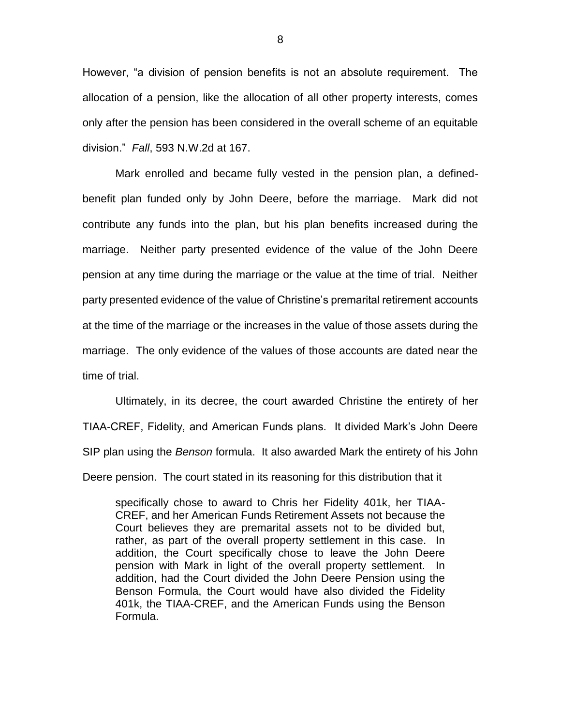However, "a division of pension benefits is not an absolute requirement. The allocation of a pension, like the allocation of all other property interests, comes only after the pension has been considered in the overall scheme of an equitable division." *Fall*, 593 N.W.2d at 167.

Mark enrolled and became fully vested in the pension plan, a definedbenefit plan funded only by John Deere, before the marriage. Mark did not contribute any funds into the plan, but his plan benefits increased during the marriage. Neither party presented evidence of the value of the John Deere pension at any time during the marriage or the value at the time of trial. Neither party presented evidence of the value of Christine's premarital retirement accounts at the time of the marriage or the increases in the value of those assets during the marriage. The only evidence of the values of those accounts are dated near the time of trial.

Ultimately, in its decree, the court awarded Christine the entirety of her TIAA-CREF, Fidelity, and American Funds plans. It divided Mark's John Deere SIP plan using the *Benson* formula. It also awarded Mark the entirety of his John Deere pension. The court stated in its reasoning for this distribution that it

specifically chose to award to Chris her Fidelity 401k, her TIAA-CREF, and her American Funds Retirement Assets not because the Court believes they are premarital assets not to be divided but, rather, as part of the overall property settlement in this case. In addition, the Court specifically chose to leave the John Deere pension with Mark in light of the overall property settlement. In addition, had the Court divided the John Deere Pension using the Benson Formula, the Court would have also divided the Fidelity 401k, the TIAA-CREF, and the American Funds using the Benson Formula.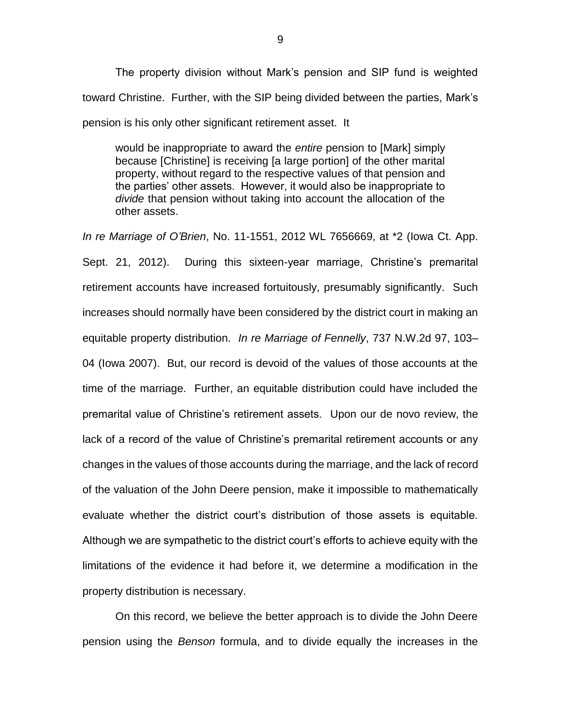The property division without Mark's pension and SIP fund is weighted toward Christine. Further, with the SIP being divided between the parties, Mark's pension is his only other significant retirement asset. It

would be inappropriate to award the *entire* pension to [Mark] simply because [Christine] is receiving [a large portion] of the other marital property, without regard to the respective values of that pension and the parties' other assets. However, it would also be inappropriate to *divide* that pension without taking into account the allocation of the other assets.

*In re Marriage of O'Brien*, No. 11-1551, 2012 WL 7656669, at \*2 (Iowa Ct. App. Sept. 21, 2012). During this sixteen-year marriage, Christine's premarital retirement accounts have increased fortuitously, presumably significantly. Such increases should normally have been considered by the district court in making an equitable property distribution. *In re Marriage of Fennelly*, 737 N.W.2d 97, 103– 04 (Iowa 2007). But, our record is devoid of the values of those accounts at the time of the marriage. Further, an equitable distribution could have included the premarital value of Christine's retirement assets. Upon our de novo review, the lack of a record of the value of Christine's premarital retirement accounts or any changes in the values of those accounts during the marriage, and the lack of record of the valuation of the John Deere pension, make it impossible to mathematically evaluate whether the district court's distribution of those assets is equitable. Although we are sympathetic to the district court's efforts to achieve equity with the limitations of the evidence it had before it, we determine a modification in the property distribution is necessary.

On this record, we believe the better approach is to divide the John Deere pension using the *Benson* formula, and to divide equally the increases in the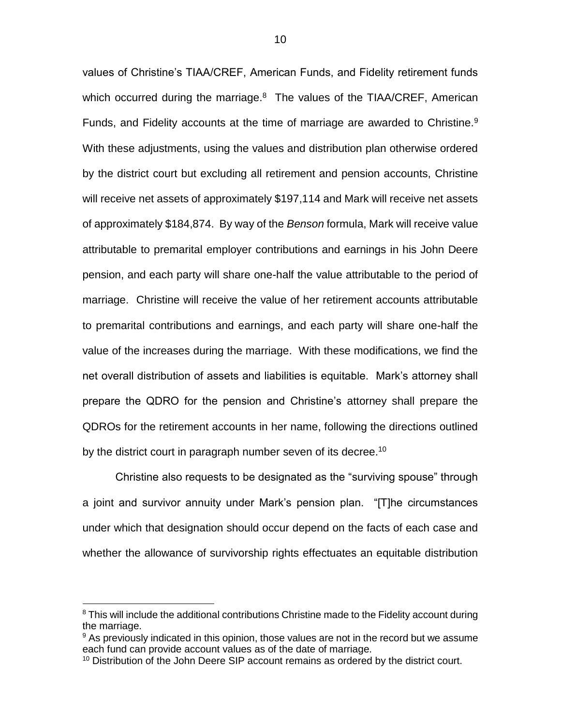values of Christine's TIAA/CREF, American Funds, and Fidelity retirement funds which occurred during the marriage.<sup>8</sup> The values of the TIAA/CREF, American Funds, and Fidelity accounts at the time of marriage are awarded to Christine.<sup>9</sup> With these adjustments, using the values and distribution plan otherwise ordered by the district court but excluding all retirement and pension accounts, Christine will receive net assets of approximately \$197,114 and Mark will receive net assets of approximately \$184,874. By way of the *Benson* formula, Mark will receive value attributable to premarital employer contributions and earnings in his John Deere pension, and each party will share one-half the value attributable to the period of marriage. Christine will receive the value of her retirement accounts attributable to premarital contributions and earnings, and each party will share one-half the value of the increases during the marriage. With these modifications, we find the net overall distribution of assets and liabilities is equitable. Mark's attorney shall prepare the QDRO for the pension and Christine's attorney shall prepare the QDROs for the retirement accounts in her name, following the directions outlined by the district court in paragraph number seven of its decree.<sup>10</sup>

Christine also requests to be designated as the "surviving spouse" through a joint and survivor annuity under Mark's pension plan. "[T]he circumstances under which that designation should occur depend on the facts of each case and whether the allowance of survivorship rights effectuates an equitable distribution

<sup>&</sup>lt;sup>8</sup> This will include the additional contributions Christine made to the Fidelity account during the marriage.

 $9$  As previously indicated in this opinion, those values are not in the record but we assume each fund can provide account values as of the date of marriage.

<sup>&</sup>lt;sup>10</sup> Distribution of the John Deere SIP account remains as ordered by the district court.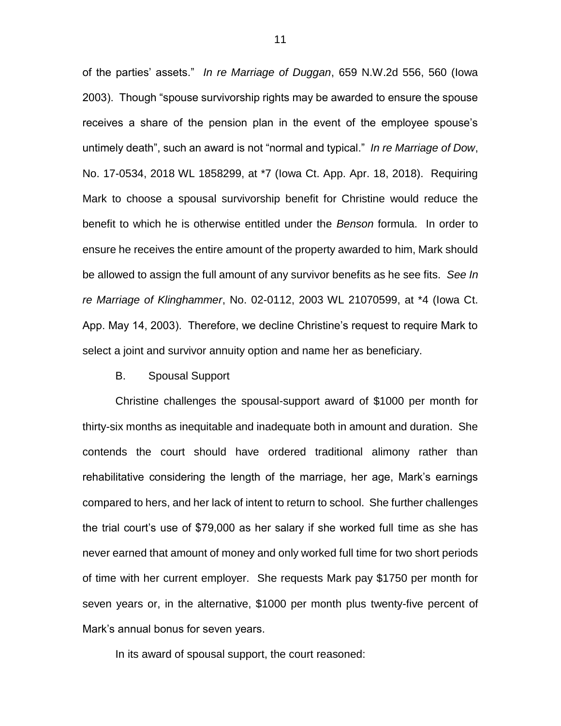of the parties' assets." *In re Marriage of Duggan*, 659 N.W.2d 556, 560 (Iowa 2003). Though "spouse survivorship rights may be awarded to ensure the spouse receives a share of the pension plan in the event of the employee spouse's untimely death", such an award is not "normal and typical." *In re Marriage of Dow*, No. 17-0534, 2018 WL 1858299, at \*7 (Iowa Ct. App. Apr. 18, 2018). Requiring Mark to choose a spousal survivorship benefit for Christine would reduce the benefit to which he is otherwise entitled under the *Benson* formula. In order to ensure he receives the entire amount of the property awarded to him, Mark should be allowed to assign the full amount of any survivor benefits as he see fits. *See In re Marriage of Klinghammer*, No. 02-0112, 2003 WL 21070599, at \*4 (Iowa Ct. App. May 14, 2003). Therefore, we decline Christine's request to require Mark to select a joint and survivor annuity option and name her as beneficiary.

#### B. Spousal Support

Christine challenges the spousal-support award of \$1000 per month for thirty-six months as inequitable and inadequate both in amount and duration. She contends the court should have ordered traditional alimony rather than rehabilitative considering the length of the marriage, her age, Mark's earnings compared to hers, and her lack of intent to return to school. She further challenges the trial court's use of \$79,000 as her salary if she worked full time as she has never earned that amount of money and only worked full time for two short periods of time with her current employer. She requests Mark pay \$1750 per month for seven years or, in the alternative, \$1000 per month plus twenty-five percent of Mark's annual bonus for seven years.

In its award of spousal support, the court reasoned: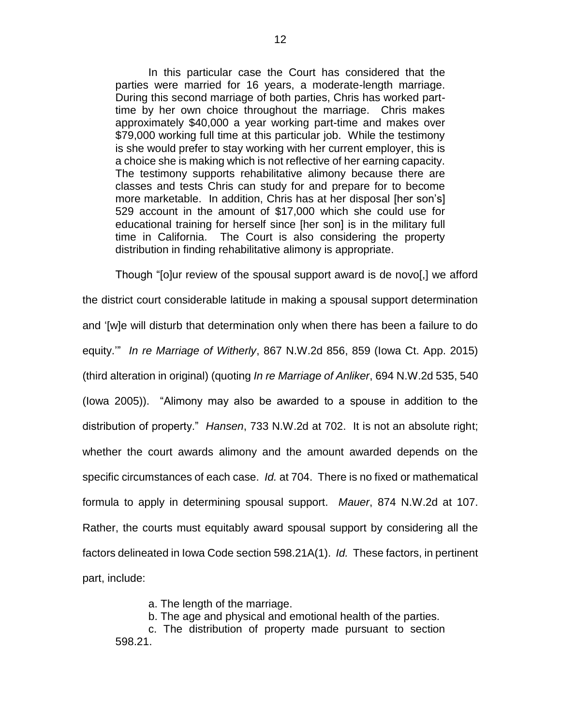In this particular case the Court has considered that the parties were married for 16 years, a moderate-length marriage. During this second marriage of both parties, Chris has worked parttime by her own choice throughout the marriage. Chris makes approximately \$40,000 a year working part-time and makes over \$79,000 working full time at this particular job. While the testimony is she would prefer to stay working with her current employer, this is a choice she is making which is not reflective of her earning capacity. The testimony supports rehabilitative alimony because there are classes and tests Chris can study for and prepare for to become more marketable. In addition, Chris has at her disposal [her son's] 529 account in the amount of \$17,000 which she could use for educational training for herself since [her son] is in the military full time in California. The Court is also considering the property distribution in finding rehabilitative alimony is appropriate.

Though "[o]ur review of the spousal support award is de novo[,] we afford the district court considerable latitude in making a spousal support determination and '[w]e will disturb that determination only when there has been a failure to do equity.'" *In re Marriage of Witherly*, 867 N.W.2d 856, 859 (Iowa Ct. App. 2015) (third alteration in original) (quoting *In re Marriage of Anliker*, 694 N.W.2d 535, 540 (Iowa 2005)). "Alimony may also be awarded to a spouse in addition to the distribution of property." *Hansen*, 733 N.W.2d at 702. It is not an absolute right; whether the court awards alimony and the amount awarded depends on the specific circumstances of each case. *Id.* at 704. There is no fixed or mathematical formula to apply in determining spousal support. *Mauer*, 874 N.W.2d at 107. Rather, the courts must equitably award spousal support by considering all the factors delineated in Iowa Code section 598.21A(1). *Id.* These factors, in pertinent part, include:

a. The length of the marriage.

b. The age and physical and emotional health of the parties.

c. The distribution of property made pursuant to section 598.21.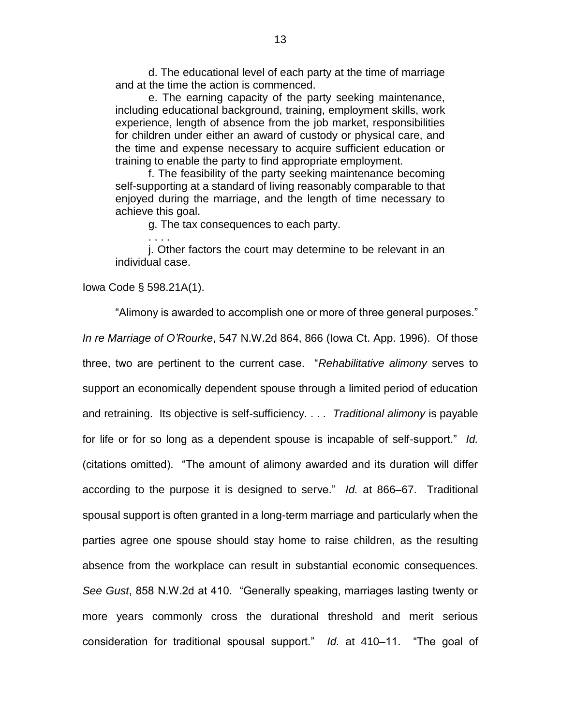d. The educational level of each party at the time of marriage and at the time the action is commenced.

e. The earning capacity of the party seeking maintenance, including educational background, training, employment skills, work experience, length of absence from the job market, responsibilities for children under either an award of custody or physical care, and the time and expense necessary to acquire sufficient education or training to enable the party to find appropriate employment.

f. The feasibility of the party seeking maintenance becoming self-supporting at a standard of living reasonably comparable to that enjoyed during the marriage, and the length of time necessary to achieve this goal.

g. The tax consequences to each party.

j. Other factors the court may determine to be relevant in an individual case.

Iowa Code § 598.21A(1).

. . . .

"Alimony is awarded to accomplish one or more of three general purposes." *In re Marriage of O'Rourke*, 547 N.W.2d 864, 866 (Iowa Ct. App. 1996). Of those three, two are pertinent to the current case. "*Rehabilitative alimony* serves to support an economically dependent spouse through a limited period of education and retraining. Its objective is self-sufficiency. . . *. Traditional alimony* is payable for life or for so long as a dependent spouse is incapable of self-support." *Id.* (citations omitted). "The amount of alimony awarded and its duration will differ according to the purpose it is designed to serve." *Id.* at 866–67. Traditional spousal support is often granted in a long-term marriage and particularly when the parties agree one spouse should stay home to raise children, as the resulting absence from the workplace can result in substantial economic consequences. *See Gust*, 858 N.W.2d at 410. "Generally speaking, marriages lasting twenty or more years commonly cross the durational threshold and merit serious consideration for traditional spousal support." *Id.* at 410–11. "The goal of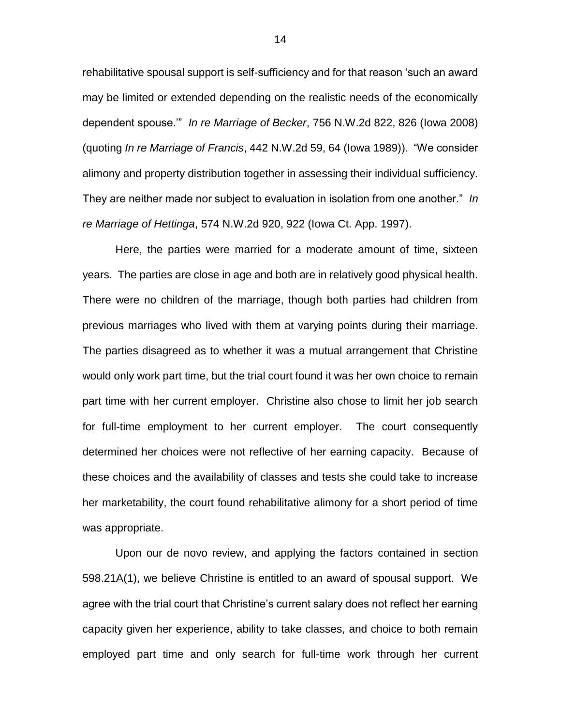rehabilitative spousal support is self-sufficiency and for that reason 'such an award may be limited or extended depending on the realistic needs of the economically dependent spouse.'" *In re Marriage of Becker*, 756 N.W.2d 822, 826 (Iowa 2008) (quoting *In re Marriage of Francis*, 442 N.W.2d 59, 64 (Iowa 1989)). "We consider alimony and property distribution together in assessing their individual sufficiency. They are neither made nor subject to evaluation in isolation from one another." *In re Marriage of Hettinga*, 574 N.W.2d 920, 922 (Iowa Ct. App. 1997).

Here, the parties were married for a moderate amount of time, sixteen years. The parties are close in age and both are in relatively good physical health. There were no children of the marriage, though both parties had children from previous marriages who lived with them at varying points during their marriage. The parties disagreed as to whether it was a mutual arrangement that Christine would only work part time, but the trial court found it was her own choice to remain part time with her current employer. Christine also chose to limit her job search for full-time employment to her current employer. The court consequently determined her choices were not reflective of her earning capacity. Because of these choices and the availability of classes and tests she could take to increase her marketability, the court found rehabilitative alimony for a short period of time was appropriate.

Upon our de novo review, and applying the factors contained in section 598.21A(1), we believe Christine is entitled to an award of spousal support. We agree with the trial court that Christine's current salary does not reflect her earning capacity given her experience, ability to take classes, and choice to both remain employed part time and only search for full-time work through her current

14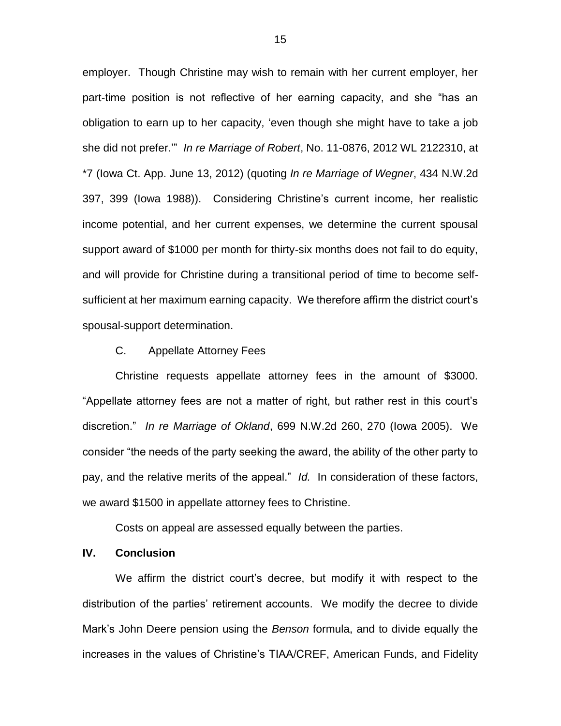employer. Though Christine may wish to remain with her current employer, her part-time position is not reflective of her earning capacity, and she "has an obligation to earn up to her capacity, 'even though she might have to take a job she did not prefer.'" *In re Marriage of Robert*, No. 11-0876, 2012 WL 2122310, at \*7 (Iowa Ct. App. June 13, 2012) (quoting *In re Marriage of Wegner*, 434 N.W.2d 397, 399 (Iowa 1988)). Considering Christine's current income, her realistic income potential, and her current expenses, we determine the current spousal support award of \$1000 per month for thirty-six months does not fail to do equity, and will provide for Christine during a transitional period of time to become selfsufficient at her maximum earning capacity. We therefore affirm the district court's spousal-support determination.

#### C. Appellate Attorney Fees

Christine requests appellate attorney fees in the amount of \$3000. "Appellate attorney fees are not a matter of right, but rather rest in this court's discretion." *In re Marriage of Okland*, 699 N.W.2d 260, 270 (Iowa 2005). We consider "the needs of the party seeking the award, the ability of the other party to pay, and the relative merits of the appeal." *Id.* In consideration of these factors, we award \$1500 in appellate attorney fees to Christine.

Costs on appeal are assessed equally between the parties.

## **IV. Conclusion**

We affirm the district court's decree, but modify it with respect to the distribution of the parties' retirement accounts. We modify the decree to divide Mark's John Deere pension using the *Benson* formula, and to divide equally the increases in the values of Christine's TIAA/CREF, American Funds, and Fidelity